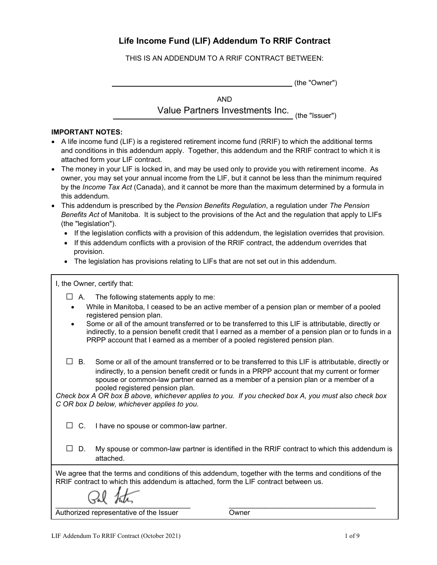# **Life Income Fund (LIF) Addendum To RRIF Contract**

THIS IS AN ADDENDUM TO A RRIF CONTRACT BETWEEN:

(the "Owner")

AND Value Partners Investments Inc.

(the "Issuer")

# **IMPORTANT NOTES:**

- A life income fund (LIF) is a registered retirement income fund (RRIF) to which the additional terms and conditions in this addendum apply. Together, this addendum and the RRIF contract to which it is attached form your LIF contract.
- The money in your LIF is locked in, and may be used only to provide you with retirement income. As owner, you may set your annual income from the LIF, but it cannot be less than the minimum required by the *Income Tax Act* (Canada), and it cannot be more than the maximum determined by a formula in this addendum.
- This addendum is prescribed by the *Pension Benefits Regulation*, a regulation under *The Pension Benefits Act* of Manitoba. It is subject to the provisions of the Act and the regulation that apply to LIFs (the "legislation").
	- If the legislation conflicts with a provision of this addendum, the legislation overrides that provision.
	- If this addendum conflicts with a provision of the RRIF contract, the addendum overrides that provision.
	- The legislation has provisions relating to LIFs that are not set out in this addendum.

I, the Owner, certify that:

- $\Box$  A. The following statements apply to me:
	- While in Manitoba, I ceased to be an active member of a pension plan or member of a pooled registered pension plan.
- Some or all of the amount transferred or to be transferred to this LIF is attributable, directly or indirectly, to a pension benefit credit that I earned as a member of a pension plan or to funds in a PRPP account that I earned as a member of a pooled registered pension plan.
- $\Box$  B. Some or all of the amount transferred or to be transferred to this LIF is attributable, directly or indirectly, to a pension benefit credit or funds in a PRPP account that my current or former spouse or common-law partner earned as a member of a pension plan or a member of a pooled registered pension plan.

*Check box A OR box B above, whichever applies to you. If you checked box A, you must also check box C OR box D below, whichever applies to you*.

 $\Box$  C. I have no spouse or common-law partner.

 $\Box$  D. My spouse or common-law partner is identified in the RRIF contract to which this addendum is attached.

We agree that the terms and conditions of this addendum, together with the terms and conditions of the RRIF contract to which this addendum is attached, form the LIF contract between us.

 $\cup$   $\sim$   $\cup$   $\sim$   $\sim$ 

Authorized representative of the Issuer

**Owner** 

\_\_\_\_\_\_\_\_\_\_\_\_\_\_\_\_\_\_\_\_\_\_\_\_\_\_\_\_\_\_\_\_\_\_\_\_\_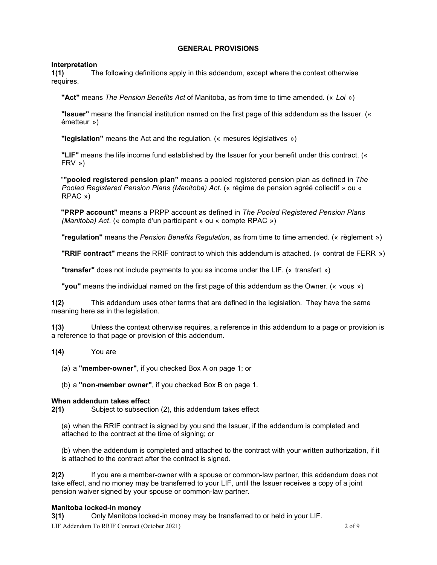# **GENERAL PROVISIONS**

**Interpretation**<br>**1(1)** Th **1(1)** The following definitions apply in this addendum, except where the context otherwise requires.

**"Act"** means *The Pension Benefits Act* of Manitoba, as from time to time amended. (« *Loi* »)

**"Issuer"** means the financial institution named on the first page of this addendum as the Issuer. (« émetteur »)

**"legislation"** means the Act and the regulation. (« mesures législatives »)

**"LIF"** means the life income fund established by the Issuer for your benefit under this contract. (« FRV »)

"**"pooled registered pension plan"** means a pooled registered pension plan as defined in *The Pooled Registered Pension Plans (Manitoba) Act*. (« régime de pension agréé collectif » ou « RPAC »)

**"PRPP account"** means a PRPP account as defined in *The Pooled Registered Pension Plans (Manitoba) Act*. (« compte d'un participant » ou « compte RPAC »)

**"regulation"** means the *Pension Benefits Regulation*, as from time to time amended. (« règlement »)

**"RRIF contract"** means the RRIF contract to which this addendum is attached. (« contrat de FERR »)

**"transfer"** does not include payments to you as income under the LIF. (« transfert »)

**"you"** means the individual named on the first page of this addendum as the Owner. (« vous »)

**1(2)** This addendum uses other terms that are defined in the legislation. They have the same meaning here as in the legislation.

**1(3)** Unless the context otherwise requires, a reference in this addendum to a page or provision is a reference to that page or provision of this addendum.

**1(4)** You are

(a) a **"member-owner"**, if you checked Box A on page 1; or

(b) a **"non-member owner"**, if you checked Box B on page 1.

## **When addendum takes effect**

**2(1)** Subject to subsection (2), this addendum takes effect

(a) when the RRIF contract is signed by you and the Issuer, if the addendum is completed and attached to the contract at the time of signing; or

(b) when the addendum is completed and attached to the contract with your written authorization, if it is attached to the contract after the contract is signed.

**2(2)** If you are a member-owner with a spouse or common-law partner, this addendum does not take effect, and no money may be transferred to your LIF, until the Issuer receives a copy of a joint pension waiver signed by your spouse or common-law partner.

# **Manitoba locked-in money**

LIF Addendum To RRIF Contract (October 2021) 2 of 9 **3(1)** Only Manitoba locked-in money may be transferred to or held in your LIF.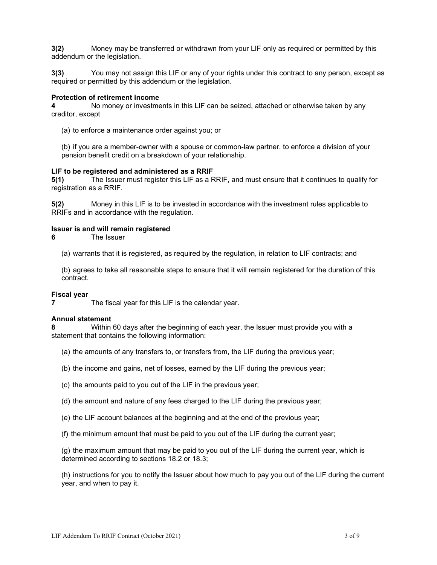**3(2)** Money may be transferred or withdrawn from your LIF only as required or permitted by this addendum or the legislation.

**3(3)** You may not assign this LIF or any of your rights under this contract to any person, except as required or permitted by this addendum or the legislation.

#### **Protection of retirement income**

**4** No money or investments in this LIF can be seized, attached or otherwise taken by any creditor, except

(a) to enforce a maintenance order against you; or

(b) if you are a member-owner with a spouse or common-law partner, to enforce a division of your pension benefit credit on a breakdown of your relationship.

#### **LIF to be registered and administered as a RRIF**

**5(1)** The Issuer must register this LIF as a RRIF, and must ensure that it continues to qualify for registration as a RRIF.

**5(2)** Money in this LIF is to be invested in accordance with the investment rules applicable to RRIFs and in accordance with the regulation.

#### **Issuer is and will remain registered**

**6** The Issuer

(a) warrants that it is registered, as required by the regulation, in relation to LIF contracts; and

(b) agrees to take all reasonable steps to ensure that it will remain registered for the duration of this contract.

#### **Fiscal year**

**7** The fiscal year for this LIF is the calendar year.

#### **Annual statement**

**8** Within 60 days after the beginning of each year, the Issuer must provide you with a statement that contains the following information:

- (a) the amounts of any transfers to, or transfers from, the LIF during the previous year;
- (b) the income and gains, net of losses, earned by the LIF during the previous year;
- (c) the amounts paid to you out of the LIF in the previous year;
- (d) the amount and nature of any fees charged to the LIF during the previous year;
- (e) the LIF account balances at the beginning and at the end of the previous year;
- (f) the minimum amount that must be paid to you out of the LIF during the current year;

(g) the maximum amount that may be paid to you out of the LIF during the current year, which is determined according to sections 18.2 or 18.3;

(h) instructions for you to notify the Issuer about how much to pay you out of the LIF during the current year, and when to pay it.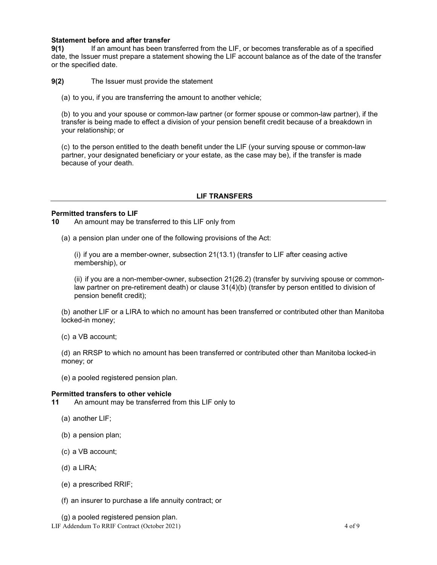# **Statement before and after transfer**

**9(1)** If an amount has been transferred from the LIF, or becomes transferable as of a specified date, the Issuer must prepare a statement showing the LIF account balance as of the date of the transfer or the specified date.

**9(2)** The Issuer must provide the statement

(a) to you, if you are transferring the amount to another vehicle;

(b) to you and your spouse or common-law partner (or former spouse or common-law partner), if the transfer is being made to effect a division of your pension benefit credit because of a breakdown in your relationship; or

(c) to the person entitled to the death benefit under the LIF (your surving spouse or common-law partner, your designated beneficiary or your estate, as the case may be), if the transfer is made because of your death.

## **LIF TRANSFERS**

#### **Permitted transfers to LIF**

**10** An amount may be transferred to this LIF only from

(a) a pension plan under one of the following provisions of the Act:

(i) if you are a member-owner, subsection 21(13.1) (transfer to LIF after ceasing active membership), or

(ii) if you are a non-member-owner, subsection 21(26.2) (transfer by surviving spouse or commonlaw partner on pre-retirement death) or clause 31(4)(b) (transfer by person entitled to division of pension benefit credit);

(b) another LIF or a LIRA to which no amount has been transferred or contributed other than Manitoba locked-in money;

(c) a VB account;

(d) an RRSP to which no amount has been transferred or contributed other than Manitoba locked-in money; or

(e) a pooled registered pension plan.

#### **Permitted transfers to other vehicle**

**11** An amount may be transferred from this LIF only to

- (a) another LIF;
- (b) a pension plan;
- (c) a VB account;
- (d) a LIRA;
- (e) a prescribed RRIF;
- (f) an insurer to purchase a life annuity contract; or

(g) a pooled registered pension plan.

LIF Addendum To RRIF Contract (October 2021) 4 of 9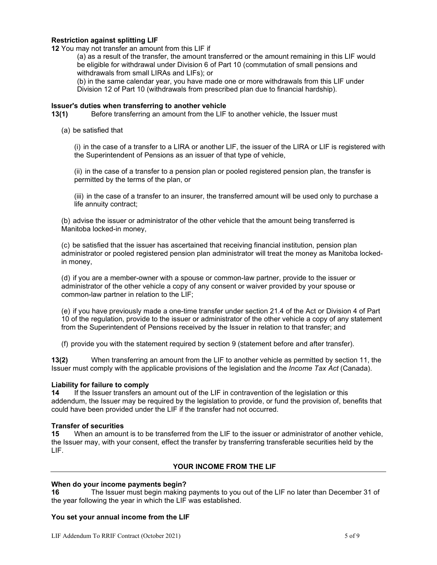# **Restriction against splitting LIF**

**12** You may not transfer an amount from this LIF if

(a) as a result of the transfer, the amount transferred or the amount remaining in this LIF would be eligible for withdrawal under Division 6 of Part 10 (commutation of small pensions and withdrawals from small LIRAs and LIFs); or

(b) in the same calendar year, you have made one or more withdrawals from this LIF under Division 12 of Part 10 (withdrawals from prescribed plan due to financial hardship).

#### **Issuer's duties when transferring to another vehicle**

**13(1)** Before transferring an amount from the LIF to another vehicle, the Issuer must

(a) be satisfied that

(i) in the case of a transfer to a LIRA or another LIF, the issuer of the LIRA or LIF is registered with the Superintendent of Pensions as an issuer of that type of vehicle,

(ii) in the case of a transfer to a pension plan or pooled registered pension plan, the transfer is permitted by the terms of the plan, or

(iii) in the case of a transfer to an insurer, the transferred amount will be used only to purchase a life annuity contract;

(b) advise the issuer or administrator of the other vehicle that the amount being transferred is Manitoba locked-in money,

(c) be satisfied that the issuer has ascertained that receiving financial institution, pension plan administrator or pooled registered pension plan administrator will treat the money as Manitoba lockedin money,

(d) if you are a member-owner with a spouse or common-law partner, provide to the issuer or administrator of the other vehicle a copy of any consent or waiver provided by your spouse or common-law partner in relation to the LIF;

(e) if you have previously made a one-time transfer under section 21.4 of the Act or Division 4 of Part 10 of the regulation, provide to the issuer or administrator of the other vehicle a copy of any statement from the Superintendent of Pensions received by the Issuer in relation to that transfer; and

(f) provide you with the statement required by section 9 (statement before and after transfer).

**13(2)** When transferring an amount from the LIF to another vehicle as permitted by section 11, the Issuer must comply with the applicable provisions of the legislation and the *Income Tax Act* (Canada).

## **Liability for failure to comply**

**14** If the Issuer transfers an amount out of the LIF in contravention of the legislation or this addendum, the Issuer may be required by the legislation to provide, or fund the provision of, benefits that could have been provided under the LIF if the transfer had not occurred.

# **Transfer of securities**<br>**15** When an amour

**15** When an amount is to be transferred from the LIF to the issuer or administrator of another vehicle, the Issuer may, with your consent, effect the transfer by transferring transferable securities held by the LIF.

## **YOUR INCOME FROM THE LIF**

# **When do your income payments begin?**

**16** The Issuer must begin making payments to you out of the LIF no later than December 31 of the year following the year in which the LIF was established.

#### **You set your annual income from the LIF**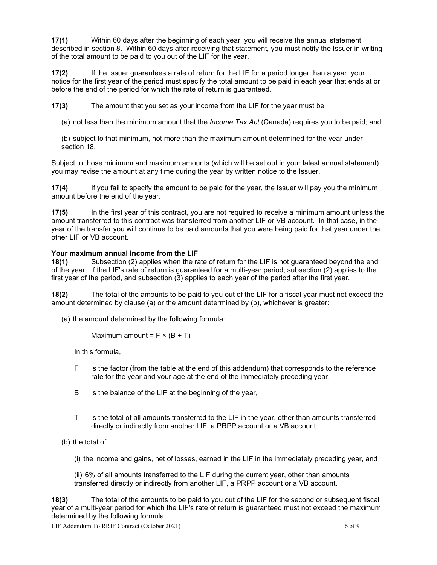**17(1)** Within 60 days after the beginning of each year, you will receive the annual statement described in section 8. Within 60 days after receiving that statement, you must notify the Issuer in writing of the total amount to be paid to you out of the LIF for the year.

**17(2)** If the Issuer guarantees a rate of return for the LIF for a period longer than a year, your notice for the first year of the period must specify the total amount to be paid in each year that ends at or before the end of the period for which the rate of return is guaranteed.

**17(3)** The amount that you set as your income from the LIF for the year must be

(a) not less than the minimum amount that the *Income Tax Act* (Canada) requires you to be paid; and

(b) subject to that minimum, not more than the maximum amount determined for the year under section 18.

Subject to those minimum and maximum amounts (which will be set out in your latest annual statement), you may revise the amount at any time during the year by written notice to the Issuer.

**17(4)** If you fail to specify the amount to be paid for the year, the Issuer will pay you the minimum amount before the end of the year.

**17(5)** In the first year of this contract, you are not required to receive a minimum amount unless the amount transferred to this contract was transferred from another LIF or VB account. In that case, in the year of the transfer you will continue to be paid amounts that you were being paid for that year under the other LIF or VB account.

# **Your maximum annual income from the LIF**

**18(1)** Subsection (2) applies when the rate of return for the LIF is not guaranteed beyond the end of the year. If the LIF's rate of return is guaranteed for a multi-year period, subsection (2) applies to the first year of the period, and subsection (3) applies to each year of the period after the first year.

**18(2)** The total of the amounts to be paid to you out of the LIF for a fiscal year must not exceed the amount determined by clause (a) or the amount determined by (b), whichever is greater:

(a) the amount determined by the following formula:

Maximum amount =  $F \times (B + T)$ 

In this formula,

- F is the factor (from the table at the end of this addendum) that corresponds to the reference rate for the year and your age at the end of the immediately preceding year,
- B is the balance of the LIF at the beginning of the year,
- T is the total of all amounts transferred to the LIF in the year, other than amounts transferred directly or indirectly from another LIF, a PRPP account or a VB account;
- (b) the total of
	- (i) the income and gains, net of losses, earned in the LIF in the immediately preceding year, and

(ii) 6% of all amounts transferred to the LIF during the current year, other than amounts transferred directly or indirectly from another LIF, a PRPP account or a VB account.

**18(3)** The total of the amounts to be paid to you out of the LIF for the second or subsequent fiscal year of a multi-year period for which the LIF's rate of return is guaranteed must not exceed the maximum determined by the following formula:

LIF Addendum To RRIF Contract (October 2021) 6 of 9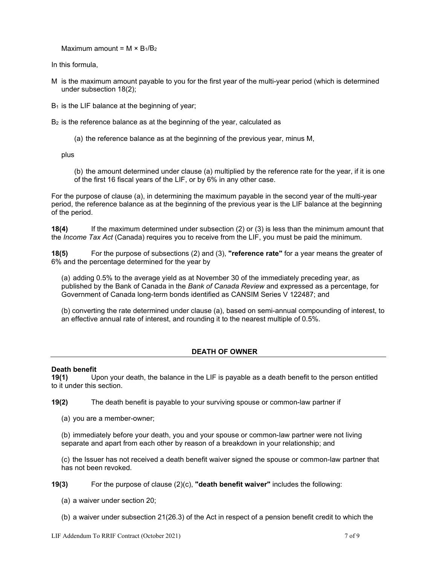Maximum amount =  $M \times B_1/B_2$ 

In this formula,

- M is the maximum amount payable to you for the first year of the multi-year period (which is determined under subsection 18(2);
- $B_1$  is the LIF balance at the beginning of year;
- B<sub>2</sub> is the reference balance as at the beginning of the year, calculated as
	- (a) the reference balance as at the beginning of the previous year, minus M,

plus

(b) the amount determined under clause (a) multiplied by the reference rate for the year, if it is one of the first 16 fiscal years of the LIF, or by 6% in any other case.

For the purpose of clause (a), in determining the maximum payable in the second year of the multi-year period, the reference balance as at the beginning of the previous year is the LIF balance at the beginning of the period.

**18(4)** If the maximum determined under subsection (2) or (3) is less than the minimum amount that the *Income Tax Act* (Canada) requires you to receive from the LIF, you must be paid the minimum.

**18(5)** For the purpose of subsections (2) and (3), **"reference rate"** for a year means the greater of 6% and the percentage determined for the year by

(a) adding 0.5% to the average yield as at November 30 of the immediately preceding year, as published by the Bank of Canada in the *Bank of Canada Review* and expressed as a percentage, for Government of Canada long-term bonds identified as CANSIM Series V 122487; and

(b) converting the rate determined under clause (a), based on semi-annual compounding of interest, to an effective annual rate of interest, and rounding it to the nearest multiple of 0.5%.

# **DEATH OF OWNER**

# **Death benefit**

**19(1)** Upon your death, the balance in the LIF is payable as a death benefit to the person entitled to it under this section.

**19(2)** The death benefit is payable to your surviving spouse or common-law partner if

(a) you are a member-owner;

(b) immediately before your death, you and your spouse or common-law partner were not living separate and apart from each other by reason of a breakdown in your relationship; and

(c) the Issuer has not received a death benefit waiver signed the spouse or common-law partner that has not been revoked.

**19(3)** For the purpose of clause (2)(c), **"death benefit waiver"** includes the following:

- (a) a waiver under section 20;
- (b) a waiver under subsection 21(26.3) of the Act in respect of a pension benefit credit to which the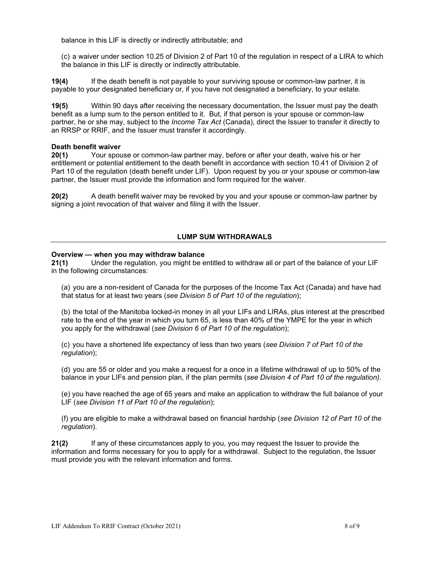balance in this LIF is directly or indirectly attributable; and

(c) a waiver under section 10.25 of Division 2 of Part 10 of the regulation in respect of a LIRA to which the balance in this LIF is directly or indirectly attributable.

**19(4)** If the death benefit is not payable to your surviving spouse or common-law partner, it is payable to your designated beneficiary or, if you have not designated a beneficiary, to your estate.

**19(5)** Within 90 days after receiving the necessary documentation, the Issuer must pay the death benefit as a lump sum to the person entitled to it. But, if that person is your spouse or common-law partner, he or she may, subject to the *Income Tax Act* (Canada), direct the Issuer to transfer it directly to an RRSP or RRIF, and the Issuer must transfer it accordingly.

## **Death benefit waiver**

**20(1)** Your spouse or common-law partner may, before or after your death, waive his or her entitlement or potential entitlement to the death benefit in accordance with section 10.41 of Division 2 of Part 10 of the regulation (death benefit under LIF). Upon request by you or your spouse or common-law partner, the Issuer must provide the information and form required for the waiver.

**20(2)** A death benefit waiver may be revoked by you and your spouse or common-law partner by signing a joint revocation of that waiver and filing it with the Issuer.

## **LUMP SUM WITHDRAWALS**

#### **Overview — when you may withdraw balance**

**21(1)** Under the regulation, you might be entitled to withdraw all or part of the balance of your LIF in the following circumstances:

(a) you are a non-resident of Canada for the purposes of the Income Tax Act (Canada) and have had that status for at least two years (*see Division 5 of Part 10 of the regulation*);

(b) the total of the Manitoba locked-in money in all your LIFs and LIRAs, plus interest at the prescribed rate to the end of the year in which you turn 65, is less than 40% of the YMPE for the year in which you apply for the withdrawal (*see Division 6 of Part 10 of the regulation*);

(c) you have a shortened life expectancy of less than two years (*see Division 7 of Part 10 of the regulation*);

(d) you are 55 or older and you make a request for a once in a lifetime withdrawal of up to 50% of the balance in your LIFs and pension plan, if the plan permits (*see Division 4 of Part 10 of the regulation)*.

(e) you have reached the age of 65 years and make an application to withdraw the full balance of your LIF (*see Division 11 of Part 10 of the regulation*);

(f) you are eligible to make a withdrawal based on financial hardship (*see Division 12 of Part 10 of the regulation*).

**21(2)** If any of these circumstances apply to you, you may request the Issuer to provide the information and forms necessary for you to apply for a withdrawal. Subject to the regulation, the Issuer must provide you with the relevant information and forms.